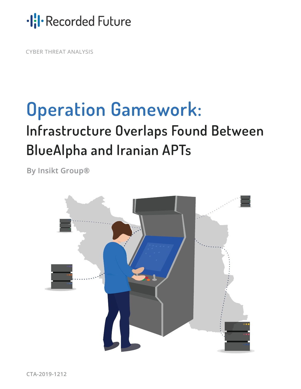·lil·Recorded Future

CYBER THREAT ANALYSIS

# **Operation Gamework:**

## **Infrastructure Overlaps Found Between BlueAlpha and Iranian APTs**

**By Insikt Group®**

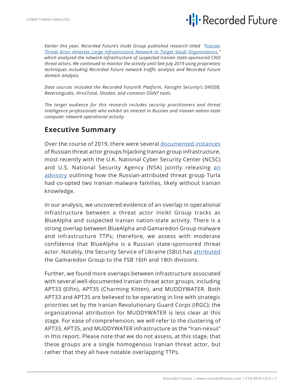## ·lil·Recorded Future

*Earlier this year, Recorded Future's Insikt Group published research titled "[Iranian](https://www.recordedfuture.com/iranian-cyber-operations-infrastructure/) [Threat Actor Amasses Large Infrastructure Network to Target Saudi Organizations,](https://www.recordedfuture.com/iranian-cyber-operations-infrastructure/)" which analyzed the network infrastructure of suspected Iranian state-sponsored CNO threat actors. We continued to monitor the activity until late July 2019 using proprietary techniques including Recorded Future network traffic analysis and Recorded Future domain analysis.*

*Data sources included the Recorded Future® Platform, Farsight Security's DNSDB, ReversingLabs, VirusTotal, Shodan, and common OSINT tools.*

*The target audience for this research includes security practitioners and threat intelligence professionals who exhibit an interest in Russian and Iranian nation-state computer network operational activity.*

#### **Executive Summary**

Over the course of 2019, there were several [documented instances](https://www.symantec.com/blogs/threat-intelligence/waterbug-espionage-governments) of Russian threat actor groups hijacking Iranian group infrastructure, most recently with the U.K. National Cyber Security Center (NCSC) [an](https://www.ncsc.gov.uk/news/turla-group-exploits-iran-apt-to-expand-coverage-of-victims)d U.S. National Security Agency (NSA) jointly releasing an [advisory](https://www.ncsc.gov.uk/news/turla-group-exploits-iran-apt-to-expand-coverage-of-victims) outlining how the Russian-attributed threat group Turla had co-opted two Iranian malware families, likely without Iranian knowledge.

In our analysis, we uncovered evidence of an overlap in operational infrastructure between a threat actor Insikt Group tracks as BlueAlpha and suspected Iranian nation-state activity. There is a strong overlap between BlueAlpha and Gamaredon Group malware and infrastructure TTPs; therefore, we assess with moderate confidence that BlueAlpha is a Russian state-sponsored threat actor. Notably, the Security Service of Ukraine (SBU) has [attributed](https://www.lookingglasscyber.com/wp-content/uploads/2015/08/Operation_Armageddon_Final.pdf) the Gamaredon Group to the FSB 16th and 18th divisions.

Further, we found more overlaps between infrastructure associated with several well-documented Iranian threat actor groups, including APT33 (Elfin), APT35 (Charming Kitten), and MUDDYWATER. Both APT33 and APT35 are believed to be operating in line with strategic priorities set by the Iranian Revolutionary Guard Corps (IRGC); the organizational attribution for MUDDYWATER is less clear at this stage. For ease of comprehension, we will refer to the clustering of APT33, APT35, and MUDDYWATER infrastructure as the "Iran-nexus" in this report. Please note that we do not assess, at this stage, that these groups are a single homogenous Iranian threat actor, but rather that they all have notable overlapping TTPs.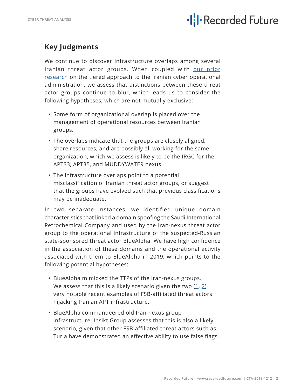

### **Key Judgments**

We continue to discover infrastructure overlaps among several Iranian threat actor groups. When coupled with [our prior](https://www.recordedfuture.com/iran-hacker-hierarchy/) [research](https://www.recordedfuture.com/iran-hacker-hierarchy/) on the tiered approach to the Iranian cyber operational administration, we assess that distinctions between these threat actor groups continue to blur, which leads us to consider the following hypotheses, which are not mutually exclusive:

- Some form of organizational overlap is placed over the management of operational resources between Iranian groups.
- The overlaps indicate that the groups are closely aligned, share resources, and are possibly all working for the same organization, which we assess is likely to be the IRGC for the APT33, APT35, and MUDDYWATER nexus.
- The infrastructure overlaps point to a potential misclassification of Iranian threat actor groups, or suggest that the groups have evolved such that previous classifications may be inadequate.

In two separate instances, we identified unique domain characteristics that linked a domain spoofing the Saudi International Petrochemical Company and used by the Iran-nexus threat actor group to the operational infrastructure of the suspected-Russian state-sponsored threat actor BlueAlpha. We have high confidence in the association of these domains and the operational activity associated with them to BlueAlpha in 2019, which points to the following potential hypotheses:

- BlueAlpha mimicked the TTPs of the Iran-nexus groups. We assess that this is a likely scenario given the two  $(1, 2)$  $(1, 2)$  $(1, 2)$ very notable recent examples of FSB-affiliated threat actors hijacking Iranian APT infrastructure.
- BlueAlpha commandeered old Iran-nexus group infrastructure. Insikt Group assesses that this is also a likely scenario, given that other FSB-affiliated threat actors such as Turla have demonstrated an effective ability to use false flags.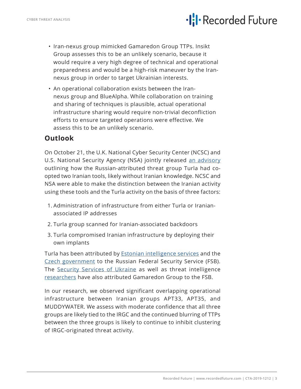## ·lil·Recorded Future

- Iran-nexus group mimicked Gamaredon Group TTPs. Insikt Group assesses this to be an unlikely scenario, because it would require a very high degree of technical and operational preparedness and would be a high-risk maneuver by the Irannexus group in order to target Ukrainian interests.
- An operational collaboration exists between the Irannexus group and BlueAlpha. While collaboration on training and sharing of techniques is plausible, actual operational infrastructure sharing would require non-trivial deconfliction efforts to ensure targeted operations were effective. We assess this to be an unlikely scenario.

#### **Outlook**

On October 21, the U.K. National Cyber Security Center (NCSC) and U.S. National Security Agency (NSA) jointly released [an advisory](https://www.ncsc.gov.uk/news/turla-group-exploits-iran-apt-to-expand-coverage-of-victims) outlining how the Russian-attributed threat group Turla had coopted two Iranian tools, likely without Iranian knowledge. NCSC and NSA were able to make the distinction between the Iranian activity using these tools and the Turla activity on the basis of three factors:

- 1. Administration of infrastructure from either Turla or Iranianassociated IP addresses
- 2. Turla group scanned for Iranian-associated backdoors
- 3. Turla compromised Iranian infrastructure by deploying their own implants

Turla has been attributed by [Estonian intelligence services](https://www.valisluureamet.ee/pdf/raport-2018-ENG-web.pdf) and the [Czech government](https://www.reuters.com/article/us-russia-cyber/hacking-the-hackers-russian-group-hijacked-iranian-spying-operation-officials-say-idUSKBN1X00AK) to the Russian Federal Security Service (FSB). The [Security Services of Ukraine](https://ssu.gov.ua/ua/news/1/category/2/view/5487#.x5LjSNcQ.dpbs) as well as threat intelligence [researchers](https://www.lookingglasscyber.com/wp-content/uploads/2015/08/Operation_Armageddon_Final.pdf) have also attributed Gamaredon Group to the FSB.

In our research, we observed significant overlapping operational infrastructure between Iranian groups APT33, APT35, and MUDDYWATER. We assess with moderate confidence that all three groups are likely tied to the IRGC and the continued blurring of TTPs between the three groups is likely to continue to inhibit clustering of IRGC-originated threat activity.